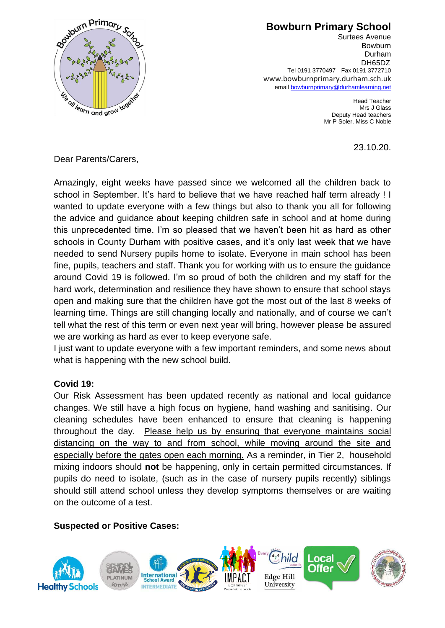

## **Bowburn Primary School**

Surtees Avenue Bowburn Durham DH65DZ Tel 0191 3770497 Fax 0191 3772710 www.bowburnprimary.durham.sch.uk email [bowburnprimary@durhamlearning.net](mailto:bowburnjuniors@durhamlearning.net)

> Head Teacher Mrs J Glass Deputy Head teachers Mr P Soler, Miss C Noble

> > 23.10.20.

Dear Parents/Carers,

Amazingly, eight weeks have passed since we welcomed all the children back to school in September. It's hard to believe that we have reached half term already ! I wanted to update everyone with a few things but also to thank you all for following the advice and guidance about keeping children safe in school and at home during this unprecedented time. I'm so pleased that we haven't been hit as hard as other schools in County Durham with positive cases, and it's only last week that we have needed to send Nursery pupils home to isolate. Everyone in main school has been fine, pupils, teachers and staff. Thank you for working with us to ensure the guidance around Covid 19 is followed. I'm so proud of both the children and my staff for the hard work, determination and resilience they have shown to ensure that school stays open and making sure that the children have got the most out of the last 8 weeks of learning time. Things are still changing locally and nationally, and of course we can't tell what the rest of this term or even next year will bring, however please be assured we are working as hard as ever to keep everyone safe.

I just want to update everyone with a few important reminders, and some news about what is happening with the new school build.

## **Covid 19:**

Our Risk Assessment has been updated recently as national and local guidance changes. We still have a high focus on hygiene, hand washing and sanitising. Our cleaning schedules have been enhanced to ensure that cleaning is happening throughout the day. Please help us by ensuring that everyone maintains social distancing on the way to and from school, while moving around the site and especially before the gates open each morning. As a reminder, in Tier 2, household mixing indoors should **not** be happening, only in certain permitted circumstances. If pupils do need to isolate, (such as in the case of nursery pupils recently) siblings should still attend school unless they develop symptoms themselves or are waiting on the outcome of a test.

### **Suspected or Positive Cases:**

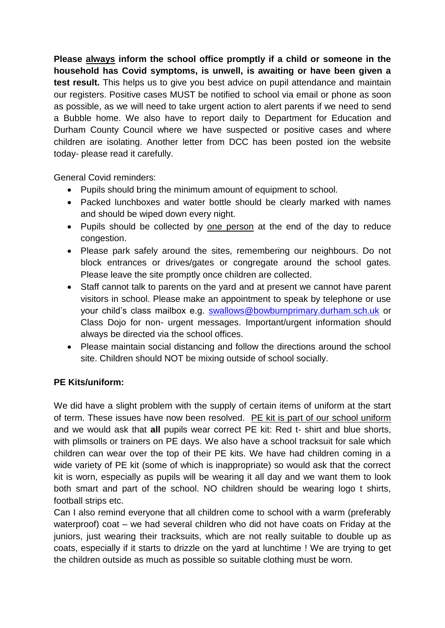**Please always inform the school office promptly if a child or someone in the household has Covid symptoms, is unwell, is awaiting or have been given a test result.** This helps us to give you best advice on pupil attendance and maintain our registers. Positive cases MUST be notified to school via email or phone as soon as possible, as we will need to take urgent action to alert parents if we need to send a Bubble home. We also have to report daily to Department for Education and Durham County Council where we have suspected or positive cases and where children are isolating. Another letter from DCC has been posted ion the website today- please read it carefully.

General Covid reminders:

- Pupils should bring the minimum amount of equipment to school.
- Packed lunchboxes and water bottle should be clearly marked with names and should be wiped down every night.
- Pupils should be collected by one person at the end of the day to reduce congestion.
- Please park safely around the sites, remembering our neighbours. Do not block entrances or drives/gates or congregate around the school gates. Please leave the site promptly once children are collected.
- Staff cannot talk to parents on the yard and at present we cannot have parent visitors in school. Please make an appointment to speak by telephone or use your child's class mailbox e.g. [swallows@bowburnprimary.durham.sch.uk](mailto:swallows@bowburnprimary.durham.sch.uk) or Class Dojo for non- urgent messages. Important/urgent information should always be directed via the school offices.
- Please maintain social distancing and follow the directions around the school site. Children should NOT be mixing outside of school socially.

## **PE Kits/uniform:**

We did have a slight problem with the supply of certain items of uniform at the start of term. These issues have now been resolved. PE kit is part of our school uniform and we would ask that **all** pupils wear correct PE kit: Red t- shirt and blue shorts, with plimsolls or trainers on PE days. We also have a school tracksuit for sale which children can wear over the top of their PE kits. We have had children coming in a wide variety of PE kit (some of which is inappropriate) so would ask that the correct kit is worn, especially as pupils will be wearing it all day and we want them to look both smart and part of the school. NO children should be wearing logo t shirts, football strips etc.

Can I also remind everyone that all children come to school with a warm (preferably waterproof) coat – we had several children who did not have coats on Friday at the juniors, just wearing their tracksuits, which are not really suitable to double up as coats, especially if it starts to drizzle on the yard at lunchtime ! We are trying to get the children outside as much as possible so suitable clothing must be worn.